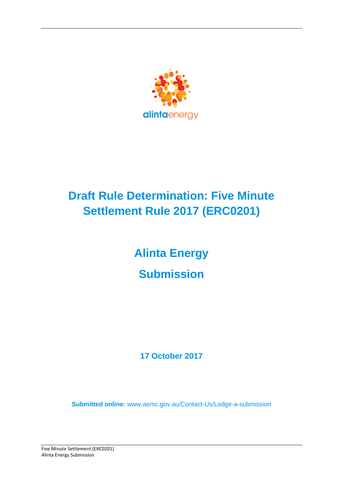

# **Draft Rule Determination: Five Minute Settlement Rule 2017 (ERC0201)**

# **Alinta Energy Submission**

**17 October 2017**

**Submitted online:** [www.aemc.gov.au/Contact-Us/Lodge-a-submission](http://www.aemc.gov.au/contact-Us/Lodge-a-submission)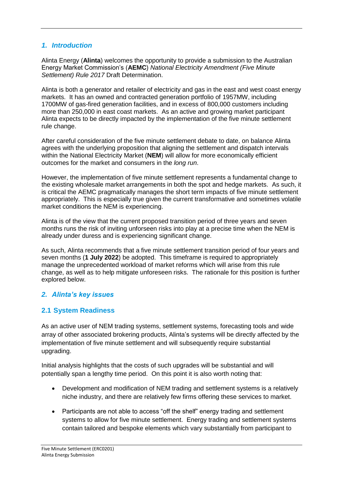#### *1. Introduction*

Alinta Energy (**Alinta**) welcomes the opportunity to provide a submission to the Australian Energy Market Commission's (**AEMC**) *National Electricity Amendment (Five Minute Settlement) Rule 2017* Draft Determination.

Alinta is both a generator and retailer of electricity and gas in the east and west coast energy markets. It has an owned and contracted generation portfolio of 1957MW, including 1700MW of gas-fired generation facilities, and in excess of 800,000 customers including more than 250,000 in east coast markets. As an active and growing market participant Alinta expects to be directly impacted by the implementation of the five minute settlement rule change.

After careful consideration of the five minute settlement debate to date, on balance Alinta agrees with the underlying proposition that aligning the settlement and dispatch intervals within the National Electricity Market (**NEM**) will allow for more economically efficient outcomes for the market and consumers in the *long run*.

However, the implementation of five minute settlement represents a fundamental change to the existing wholesale market arrangements in both the spot and hedge markets. As such, it is critical the AEMC pragmatically manages the short term impacts of five minute settlement appropriately. This is especially true given the current transformative and sometimes volatile market conditions the NEM is experiencing.

Alinta is of the view that the current proposed transition period of three years and seven months runs the risk of inviting unforseen risks into play at a precise time when the NEM is already under duress and is experiencing significant change.

As such, Alinta recommends that a five minute settlement transition period of four years and seven months (**1 July 2022**) be adopted. This timeframe is required to appropriately manage the unprecedented workload of market reforms which will arise from this rule change, as well as to help mitigate unforeseen risks. The rationale for this position is further explored below.

# *2. Alinta's key issues*

# **2.1 System Readiness**

As an active user of NEM trading systems, settlement systems, forecasting tools and wide array of other associated brokering products, Alinta's systems will be directly affected by the implementation of five minute settlement and will subsequently require substantial upgrading.

Initial analysis highlights that the costs of such upgrades will be substantial and will potentially span a lengthy time period. On this point it is also worth noting that:

- Development and modification of NEM trading and settlement systems is a relatively niche industry, and there are relatively few firms offering these services to market.
- Participants are not able to access "off the shelf" energy trading and settlement systems to allow for five minute settlement. Energy trading and settlement systems contain tailored and bespoke elements which vary substantially from participant to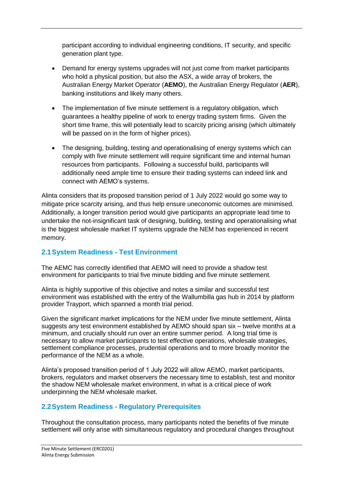participant according to individual engineering conditions, IT security, and specific generation plant type.

- Demand for energy systems upgrades will not just come from market participants who hold a physical position, but also the ASX, a wide array of brokers, the Australian Energy Market Operator (**AEMO**), the Australian Energy Regulator (**AER**), banking institutions and likely many others.
- The implementation of five minute settlement is a regulatory obligation, which guarantees a healthy pipeline of work to energy trading system firms. Given the short time frame, this will potentially lead to scarcity pricing arising (which ultimately will be passed on in the form of higher prices).
- The designing, building, testing and operationalising of energy systems which can comply with five minute settlement will require significant time and internal human resources from participants. Following a successful build, participants will additionally need ample time to ensure their trading systems can indeed link and connect with AEMO's systems.

Alinta considers that its proposed transition period of 1 July 2022 would go some way to mitigate price scarcity arising, and thus help ensure uneconomic outcomes are minimised. Additionally, a longer transition period would give participants an appropriate lead time to undertake the not-insignificant task of designing, building, testing and operationalising what is the biggest wholesale market IT systems upgrade the NEM has experienced in recent memory.

# **2.1System Readiness - Test Environment**

The AEMC has correctly identified that AEMO will need to provide a shadow test environment for participants to trial five minute bidding and five minute settlement.

Alinta is highly supportive of this objective and notes a similar and successful test environment was established with the entry of the Wallumbilla gas hub in 2014 by platform provider Trayport, which spanned a month trial period.

Given the significant market implications for the NEM under five minute settlement, Alinta suggests any test environment established by AEMO should span six – twelve months at a minimum, and crucially should run over an entire summer period. A long trial time is necessary to allow market participants to test effective operations, wholesale strategies, settlement compliance processes, prudential operations and to more broadly monitor the performance of the NEM as a whole.

Alinta's proposed transition period of 1 July 2022 will allow AEMO, market participants, brokers, regulators and market observers the necessary time to establish, test and monitor the shadow NEM wholesale market environment, in what is a critical piece of work underpinning the NEM wholesale market.

#### **2.2System Readiness - Regulatory Prerequisites**

Throughout the consultation process, many participants noted the benefits of five minute settlement will only arise with simultaneous regulatory and procedural changes throughout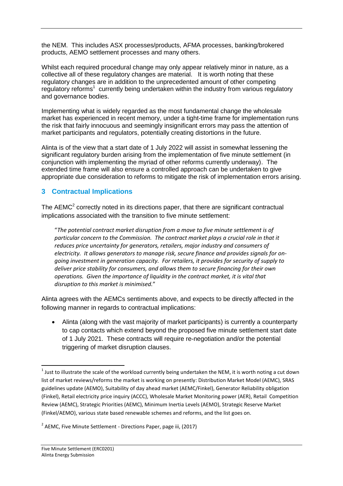the NEM. This includes ASX processes/products, AFMA processes, banking/brokered products, AEMO settlement processes and many others.

Whilst each required procedural change may only appear relatively minor in nature, as a collective all of these regulatory changes are material. It is worth noting that these regulatory changes are in addition to the unprecedented amount of other competing regulatory reforms<sup>1</sup> currently being undertaken within the industry from various regulatory and governance bodies.

Implementing what is widely regarded as the most fundamental change the wholesale market has experienced in recent memory, under a tight-time frame for implementation runs the risk that fairly innocuous and seemingly insignificant errors may pass the attention of market participants and regulators, potentially creating distortions in the future.

Alinta is of the view that a start date of 1 July 2022 will assist in somewhat lessening the significant regulatory burden arising from the implementation of five minute settlement (in conjunction with implementing the myriad of other reforms currently underway). The extended time frame will also ensure a controlled approach can be undertaken to give appropriate due consideration to reforms to mitigate the risk of implementation errors arising.

# **3 Contractual Implications**

The AEMC<sup>2</sup> correctly noted in its directions paper, that there are significant contractual implications associated with the transition to five minute settlement:

"*The potential contract market disruption from a move to five minute settlement is of particular concern to the Commission. The contract market plays a crucial role in that it reduces price uncertainty for generators, retailers, major industry and consumers of electricity. It allows generators to manage risk, secure finance and provides signals for ongoing investment in generation capacity. For retailers, it provides for security of supply to deliver price stability for consumers, and allows them to secure financing for their own operations. Given the importance of liquidity in the contract market, it is vital that disruption to this market is minimised.*"

Alinta agrees with the AEMCs sentiments above, and expects to be directly affected in the following manner in regards to contractual implications:

 Alinta (along with the vast majority of market participants) is currently a counterparty to cap contacts which extend beyond the proposed five minute settlement start date of 1 July 2021. These contracts will require re-negotiation and/or the potential triggering of market disruption clauses.

**.** 

<sup>&</sup>lt;sup>1</sup> Just to illustrate the scale of the workload currently being undertaken the NEM, it is worth noting a cut down list of market reviews/reforms the market is working on presently: Distribution Market Model (AEMC), SRAS guidelines update (AEMO), Suitability of day ahead market (AEMC/Finkel), Generator Reliability obligation (Finkel), Retail electricity price inquiry (ACCC), Wholesale Market Monitoring power (AER), Retail Competition Review (AEMC), Strategic Priorities (AEMC), Minimum Inertia Levels (AEMO), Strategic Reserve Market (Finkel/AEMO), various state based renewable schemes and reforms, and the list goes on.

<sup>&</sup>lt;sup>2</sup> AEMC, Five Minute Settlement - Directions Paper, page iii, (2017)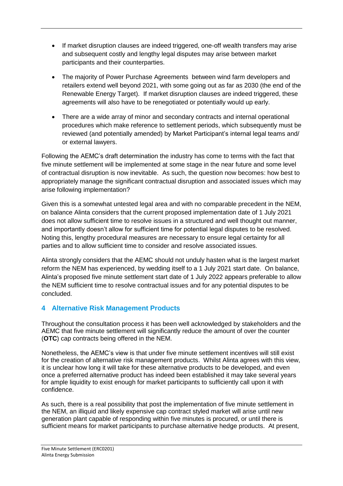- If market disruption clauses are indeed triggered, one-off wealth transfers may arise and subsequent costly and lengthy legal disputes may arise between market participants and their counterparties.
- The majority of Power Purchase Agreements between wind farm developers and retailers extend well beyond 2021, with some going out as far as 2030 (the end of the Renewable Energy Target). If market disruption clauses are indeed triggered, these agreements will also have to be renegotiated or potentially would up early.
- There are a wide array of minor and secondary contracts and internal operational procedures which make reference to settlement periods, which subsequently must be reviewed (and potentially amended) by Market Participant's internal legal teams and/ or external lawyers.

Following the AEMC's draft determination the industry has come to terms with the fact that five minute settlement will be implemented at some stage in the near future and some level of contractual disruption is now inevitable. As such, the question now becomes: how best to appropriately manage the significant contractual disruption and associated issues which may arise following implementation?

Given this is a somewhat untested legal area and with no comparable precedent in the NEM, on balance Alinta considers that the current proposed implementation date of 1 July 2021 does not allow sufficient time to resolve issues in a structured and well thought out manner, and importantly doesn't allow for sufficient time for potential legal disputes to be resolved. Noting this, lengthy procedural measures are necessary to ensure legal certainty for all parties and to allow sufficient time to consider and resolve associated issues.

Alinta strongly considers that the AEMC should not unduly hasten what is the largest market reform the NEM has experienced, by wedding itself to a 1 July 2021 start date. On balance, Alinta's proposed five minute settlement start date of 1 July 2022 appears preferable to allow the NEM sufficient time to resolve contractual issues and for any potential disputes to be concluded.

# **4 Alternative Risk Management Products**

Throughout the consultation process it has been well acknowledged by stakeholders and the AEMC that five minute settlement will significantly reduce the amount of over the counter (**OTC**) cap contracts being offered in the NEM.

Nonetheless, the AEMC's view is that under five minute settlement incentives will still exist for the creation of alternative risk management products. Whilst Alinta agrees with this view, it is unclear how long it will take for these alternative products to be developed, and even once a preferred alternative product has indeed been established it may take several years for ample liquidity to exist enough for market participants to sufficiently call upon it with confidence.

As such, there is a real possibility that post the implementation of five minute settlement in the NEM, an illiquid and likely expensive cap contract styled market will arise until new generation plant capable of responding within five minutes is procured, or until there is sufficient means for market participants to purchase alternative hedge products. At present,